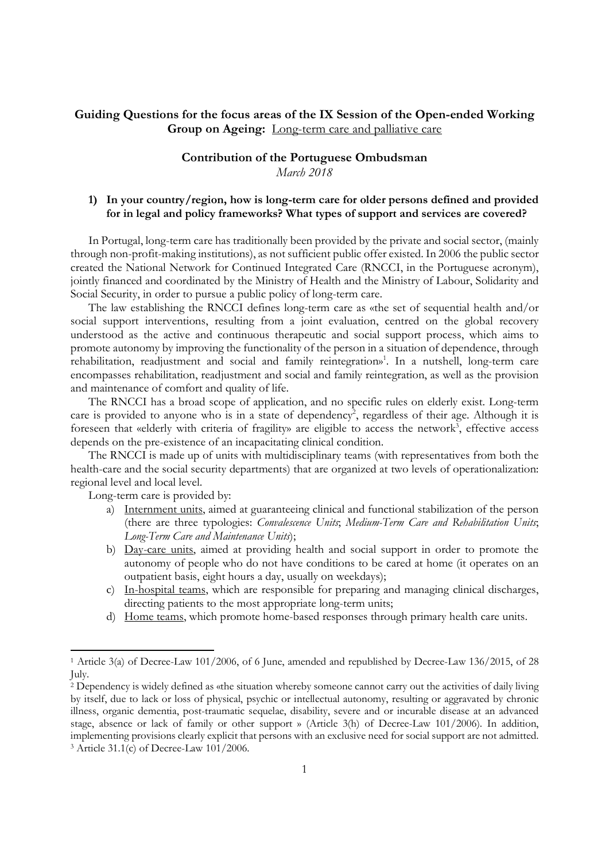## Guiding Questions for the focus areas of the IX Session of the Open-ended Working Group on Ageing: Long-term care and palliative care

# Contribution of the Portuguese Ombudsman

March 2018

## 1) In your country/region, how is long-term care for older persons defined and provided for in legal and policy frameworks? What types of support and services are covered?

In Portugal, long-term care has traditionally been provided by the private and social sector, (mainly through non-profit-making institutions), as not sufficient public offer existed. In 2006 the public sector created the National Network for Continued Integrated Care (RNCCI, in the Portuguese acronym), jointly financed and coordinated by the Ministry of Health and the Ministry of Labour, Solidarity and Social Security, in order to pursue a public policy of long-term care.

The law establishing the RNCCI defines long-term care as «the set of sequential health and/or social support interventions, resulting from a joint evaluation, centred on the global recovery understood as the active and continuous therapeutic and social support process, which aims to promote autonomy by improving the functionality of the person in a situation of dependence, through rehabilitation, readjustment and social and family reintegration»<sup>1</sup>. In a nutshell, long-term care encompasses rehabilitation, readjustment and social and family reintegration, as well as the provision and maintenance of comfort and quality of life.

The RNCCI has a broad scope of application, and no specific rules on elderly exist. Long-term care is provided to anyone who is in a state of dependency<sup>2</sup>, regardless of their age. Although it is foreseen that «elderly with criteria of fragility» are eligible to access the network<sup>3</sup>, effective access depends on the pre-existence of an incapacitating clinical condition.

The RNCCI is made up of units with multidisciplinary teams (with representatives from both the health-care and the social security departments) that are organized at two levels of operationalization: regional level and local level.

Long-term care is provided by:

- a) Internment units, aimed at guaranteeing clinical and functional stabilization of the person (there are three typologies: Convalescence Units; Medium-Term Care and Rehabilitation Units; Long-Term Care and Maintenance Units);
- b) Day-care units, aimed at providing health and social support in order to promote the autonomy of people who do not have conditions to be cared at home (it operates on an outpatient basis, eight hours a day, usually on weekdays);
- c) In-hospital teams, which are responsible for preparing and managing clinical discharges, directing patients to the most appropriate long-term units;
- d) Home teams, which promote home-based responses through primary health care units.

<sup>1</sup> Article 3(a) of Decree-Law 101/2006, of 6 June, amended and republished by Decree-Law 136/2015, of 28 July.

<sup>2</sup> Dependency is widely defined as «the situation whereby someone cannot carry out the activities of daily living by itself, due to lack or loss of physical, psychic or intellectual autonomy, resulting or aggravated by chronic illness, organic dementia, post-traumatic sequelae, disability, severe and or incurable disease at an advanced stage, absence or lack of family or other support » (Article 3(h) of Decree-Law 101/2006). In addition, implementing provisions clearly explicit that persons with an exclusive need for social support are not admitted. 3 Article 31.1(c) of Decree-Law 101/2006.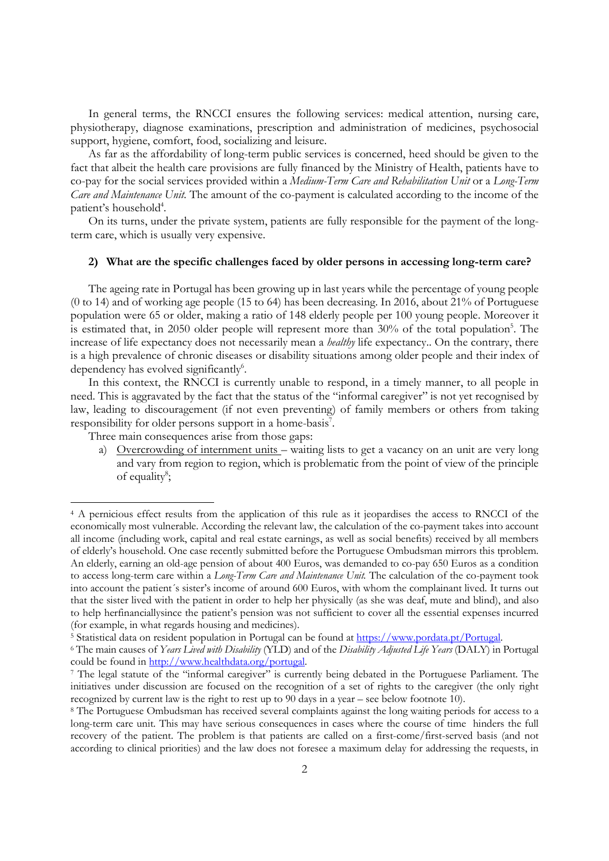In general terms, the RNCCI ensures the following services: medical attention, nursing care, physiotherapy, diagnose examinations, prescription and administration of medicines, psychosocial support, hygiene, comfort, food, socializing and leisure.

As far as the affordability of long-term public services is concerned, heed should be given to the fact that albeit the health care provisions are fully financed by the Ministry of Health, patients have to co-pay for the social services provided within a Medium-Term Care and Rehabilitation Unit or a Long-Term Care and Maintenance Unit. The amount of the co-payment is calculated according to the income of the patient's household<sup>4</sup>.

On its turns, under the private system, patients are fully responsible for the payment of the longterm care, which is usually very expensive.

#### 2) What are the specific challenges faced by older persons in accessing long-term care?

The ageing rate in Portugal has been growing up in last years while the percentage of young people (0 to 14) and of working age people (15 to 64) has been decreasing. In 2016, about 21% of Portuguese population were 65 or older, making a ratio of 148 elderly people per 100 young people. Moreover it is estimated that, in 2050 older people will represent more than 30% of the total population<sup>5</sup>. The increase of life expectancy does not necessarily mean a *healthy* life expectancy.. On the contrary, there is a high prevalence of chronic diseases or disability situations among older people and their index of dependency has evolved significantly<sup>6</sup>.

In this context, the RNCCI is currently unable to respond, in a timely manner, to all people in need. This is aggravated by the fact that the status of the "informal caregiver" is not yet recognised by law, leading to discouragement (if not even preventing) of family members or others from taking responsibility for older persons support in a home-basis<sup>7</sup>.

Three main consequences arise from those gaps:

-

a) Overcrowding of internment units – waiting lists to get a vacancy on an unit are very long and vary from region to region, which is problematic from the point of view of the principle of equality<sup>8</sup>;

<sup>4</sup> A pernicious effect results from the application of this rule as it jeopardises the access to RNCCI of the economically most vulnerable. According the relevant law, the calculation of the co-payment takes into account all income (including work, capital and real estate earnings, as well as social benefits) received by all members of elderly's household. One case recently submitted before the Portuguese Ombudsman mirrors this tproblem. An elderly, earning an old-age pension of about 400 Euros, was demanded to co-pay 650 Euros as a condition to access long-term care within a Long-Term Care and Maintenance Unit. The calculation of the co-payment took into account the patient´s sister's income of around 600 Euros, with whom the complainant lived. It turns out that the sister lived with the patient in order to help her physically (as she was deaf, mute and blind), and also to help herfinanciallysince the patient's pension was not sufficient to cover all the essential expenses incurred (for example, in what regards housing and medicines).

<sup>&</sup>lt;sup>5</sup> Statistical data on resident population in Portugal can be found at https://www.pordata.pt/Portugal.

<sup>&</sup>lt;sup>6</sup> The main causes of Years Lived with Disability (YLD) and of the Disability Adjusted Life Years (DALY) in Portugal could be found in http://www.healthdata.org/portugal.

<sup>7</sup> The legal statute of the "informal caregiver" is currently being debated in the Portuguese Parliament. The initiatives under discussion are focused on the recognition of a set of rights to the caregiver (the only right recognized by current law is the right to rest up to 90 days in a year – see below footnote 10).

<sup>8</sup> The Portuguese Ombudsman has received several complaints against the long waiting periods for access to a long-term care unit. This may have serious consequences in cases where the course of time hinders the full recovery of the patient. The problem is that patients are called on a first-come/first-served basis (and not according to clinical priorities) and the law does not foresee a maximum delay for addressing the requests, in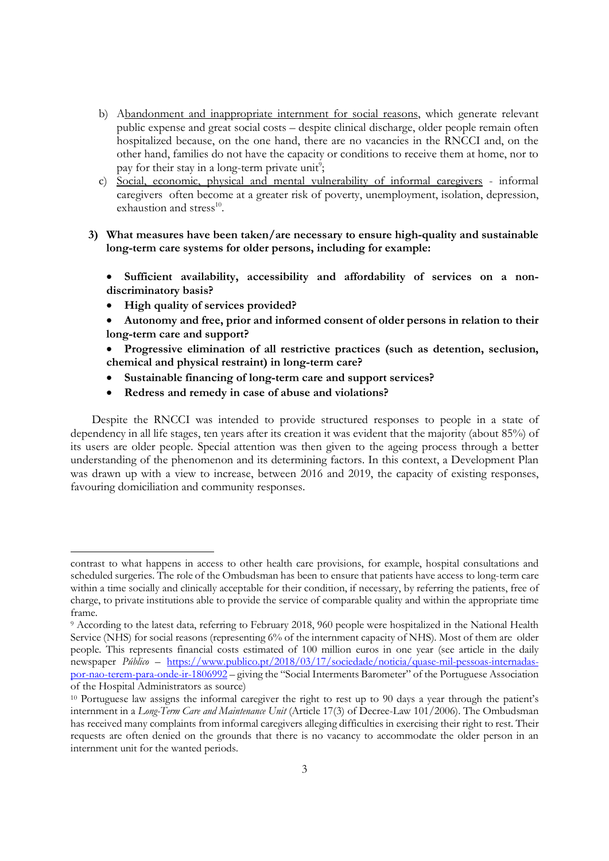- b) Abandonment and inappropriate internment for social reasons, which generate relevant public expense and great social costs – despite clinical discharge, older people remain often hospitalized because, on the one hand, there are no vacancies in the RNCCI and, on the other hand, families do not have the capacity or conditions to receive them at home, nor to pay for their stay in a long-term private unit<sup>9</sup>;
- c) Social, economic, physical and mental vulnerability of informal caregivers informal caregivers often become at a greater risk of poverty, unemployment, isolation, depression, exhaustion and stress<sup>10</sup>.
- 3) What measures have been taken/are necessary to ensure high-quality and sustainable long-term care systems for older persons, including for example:

 Sufficient availability, accessibility and affordability of services on a nondiscriminatory basis?

• High quality of services provided?

-

- Autonomy and free, prior and informed consent of older persons in relation to their long-term care and support?
- Progressive elimination of all restrictive practices (such as detention, seclusion, chemical and physical restraint) in long-term care?
- Sustainable financing of long-term care and support services?
- Redress and remedy in case of abuse and violations?

Despite the RNCCI was intended to provide structured responses to people in a state of dependency in all life stages, ten years after its creation it was evident that the majority (about 85%) of its users are older people. Special attention was then given to the ageing process through a better understanding of the phenomenon and its determining factors. In this context, a Development Plan was drawn up with a view to increase, between 2016 and 2019, the capacity of existing responses, favouring domiciliation and community responses.

contrast to what happens in access to other health care provisions, for example, hospital consultations and scheduled surgeries. The role of the Ombudsman has been to ensure that patients have access to long-term care within a time socially and clinically acceptable for their condition, if necessary, by referring the patients, free of charge, to private institutions able to provide the service of comparable quality and within the appropriate time frame.

<sup>9</sup> According to the latest data, referring to February 2018, 960 people were hospitalized in the National Health Service (NHS) for social reasons (representing 6% of the internment capacity of NHS). Most of them are older people. This represents financial costs estimated of 100 million euros in one year (see article in the daily newspaper Público – https://www.publico.pt/2018/03/17/sociedade/noticia/quase-mil-pessoas-internadaspor-nao-terem-para-onde-ir-1806992 – giving the "Social Interments Barometer" of the Portuguese Association of the Hospital Administrators as source)

<sup>&</sup>lt;sup>10</sup> Portuguese law assigns the informal caregiver the right to rest up to 90 days a year through the patient's internment in a Long-Term Care and Maintenance Unit (Article 17(3) of Decree-Law 101/2006). The Ombudsman has received many complaints from informal caregivers alleging difficulties in exercising their right to rest. Their requests are often denied on the grounds that there is no vacancy to accommodate the older person in an internment unit for the wanted periods.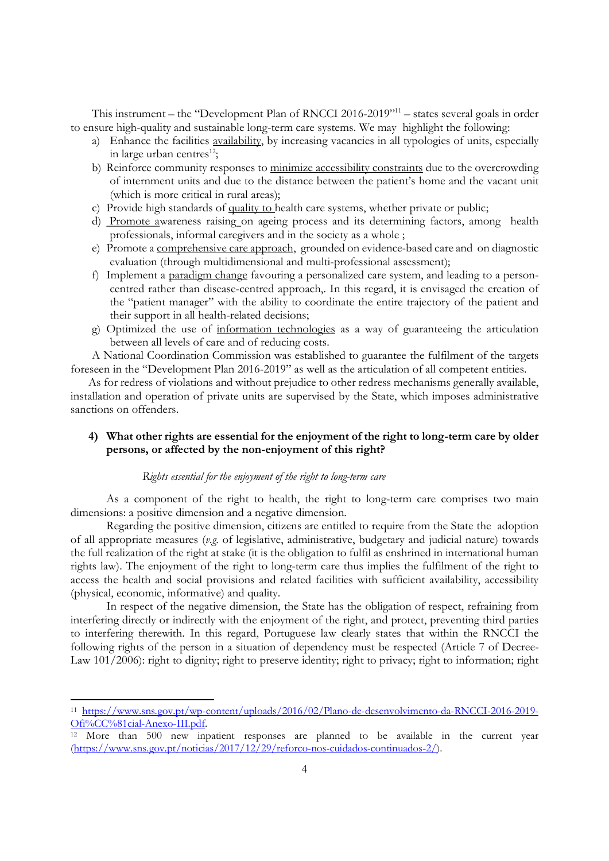This instrument – the "Development Plan of RNCCI 2016-2019"<sup>11</sup> – states several goals in order to ensure high-quality and sustainable long-term care systems. We may highlight the following:

- a) Enhance the facilities availability, by increasing vacancies in all typologies of units, especially in large urban centres<sup>12</sup>;
- b) Reinforce community responses to minimize accessibility constraints due to the overcrowding of internment units and due to the distance between the patient's home and the vacant unit (which is more critical in rural areas);
- c) Provide high standards of quality to health care systems, whether private or public;
- d) Promote awareness raising on ageing process and its determining factors, among health professionals, informal caregivers and in the society as a whole ;
- e) Promote a comprehensive care approach, grounded on evidence-based care and on diagnostic evaluation (through multidimensional and multi-professional assessment);
- f) Implement a paradigm change favouring a personalized care system, and leading to a personcentred rather than disease-centred approach,. In this regard, it is envisaged the creation of the "patient manager" with the ability to coordinate the entire trajectory of the patient and their support in all health-related decisions;
- g) Optimized the use of information technologies as a way of guaranteeing the articulation between all levels of care and of reducing costs.

A National Coordination Commission was established to guarantee the fulfilment of the targets foreseen in the "Development Plan 2016-2019" as well as the articulation of all competent entities.

As for redress of violations and without prejudice to other redress mechanisms generally available, installation and operation of private units are supervised by the State, which imposes administrative sanctions on offenders.

## 4) What other rights are essential for the enjoyment of the right to long-term care by older persons, or affected by the non-enjoyment of this right?

## Rights essential for the enjoyment of the right to long-term care

As a component of the right to health, the right to long-term care comprises two main dimensions: a positive dimension and a negative dimension.

Regarding the positive dimension, citizens are entitled to require from the State the adoption of all appropriate measures (v.g. of legislative, administrative, budgetary and judicial nature) towards the full realization of the right at stake (it is the obligation to fulfil as enshrined in international human rights law). The enjoyment of the right to long-term care thus implies the fulfilment of the right to access the health and social provisions and related facilities with sufficient availability, accessibility (physical, economic, informative) and quality.

In respect of the negative dimension, the State has the obligation of respect, refraining from interfering directly or indirectly with the enjoyment of the right, and protect, preventing third parties to interfering therewith. In this regard, Portuguese law clearly states that within the RNCCI the following rights of the person in a situation of dependency must be respected (Article 7 of Decree-Law 101/2006): right to dignity; right to preserve identity; right to privacy; right to information; right

<sup>11</sup> https://www.sns.gov.pt/wp-content/uploads/2016/02/Plano-de-desenvolvimento-da-RNCCI-2016-2019- Ofi%CC%81cial-Anexo-III.pdf.

<sup>12</sup> More than 500 new inpatient responses are planned to be available in the current year (https://www.sns.gov.pt/noticias/2017/12/29/reforco-nos-cuidados-continuados-2/).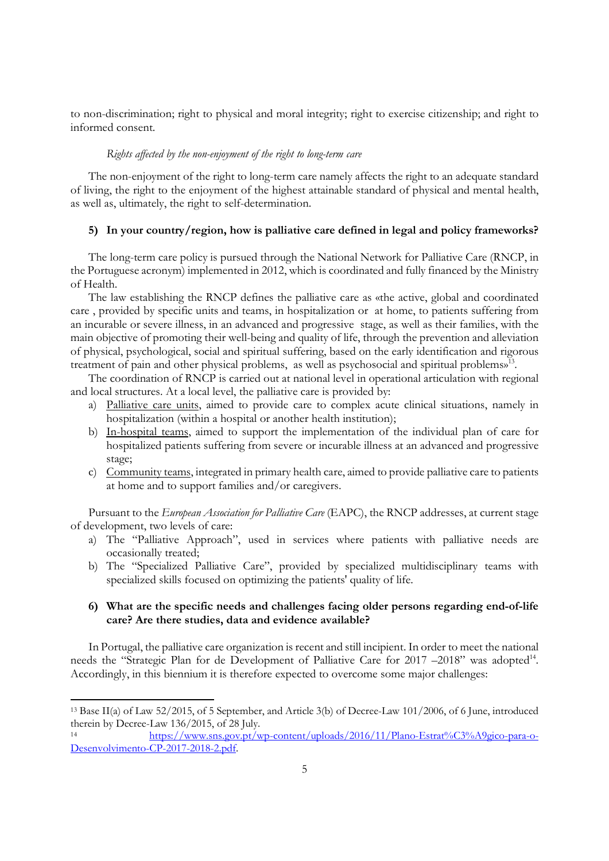to non-discrimination; right to physical and moral integrity; right to exercise citizenship; and right to informed consent.

#### Rights affected by the non-enjoyment of the right to long-term care

The non-enjoyment of the right to long-term care namely affects the right to an adequate standard of living, the right to the enjoyment of the highest attainable standard of physical and mental health, as well as, ultimately, the right to self-determination.

## 5) In your country/region, how is palliative care defined in legal and policy frameworks?

The long-term care policy is pursued through the National Network for Palliative Care (RNCP, in the Portuguese acronym) implemented in 2012, which is coordinated and fully financed by the Ministry of Health.

The law establishing the RNCP defines the palliative care as «the active, global and coordinated care , provided by specific units and teams, in hospitalization or at home, to patients suffering from an incurable or severe illness, in an advanced and progressive stage, as well as their families, with the main objective of promoting their well-being and quality of life, through the prevention and alleviation of physical, psychological, social and spiritual suffering, based on the early identification and rigorous treatment of pain and other physical problems, as well as psychosocial and spiritual problems»<sup>13</sup>.

The coordination of RNCP is carried out at national level in operational articulation with regional and local structures. At a local level, the palliative care is provided by:

- a) Palliative care units, aimed to provide care to complex acute clinical situations, namely in hospitalization (within a hospital or another health institution);
- b) In-hospital teams, aimed to support the implementation of the individual plan of care for hospitalized patients suffering from severe or incurable illness at an advanced and progressive stage;
- c) Community teams, integrated in primary health care, aimed to provide palliative care to patients at home and to support families and/or caregivers.

Pursuant to the European Association for Palliative Care (EAPC), the RNCP addresses, at current stage of development, two levels of care:

- a) The "Palliative Approach", used in services where patients with palliative needs are occasionally treated;
- b) The "Specialized Palliative Care", provided by specialized multidisciplinary teams with specialized skills focused on optimizing the patients' quality of life.

### 6) What are the specific needs and challenges facing older persons regarding end-of-life care? Are there studies, data and evidence available?

In Portugal, the palliative care organization is recent and still incipient. In order to meet the national needs the "Strategic Plan for de Development of Palliative Care for 2017 -2018" was adopted<sup>14</sup>. Accordingly, in this biennium it is therefore expected to overcome some major challenges:

<sup>13</sup> Base II(a) of Law 52/2015, of 5 September, and Article 3(b) of Decree-Law 101/2006, of 6 June, introduced therein by Decree-Law 136/2015, of 28 July.

<sup>14</sup> https://www.sns.gov.pt/wp-content/uploads/2016/11/Plano-Estrat%C3%A9gico-para-o-Desenvolvimento-CP-2017-2018-2.pdf.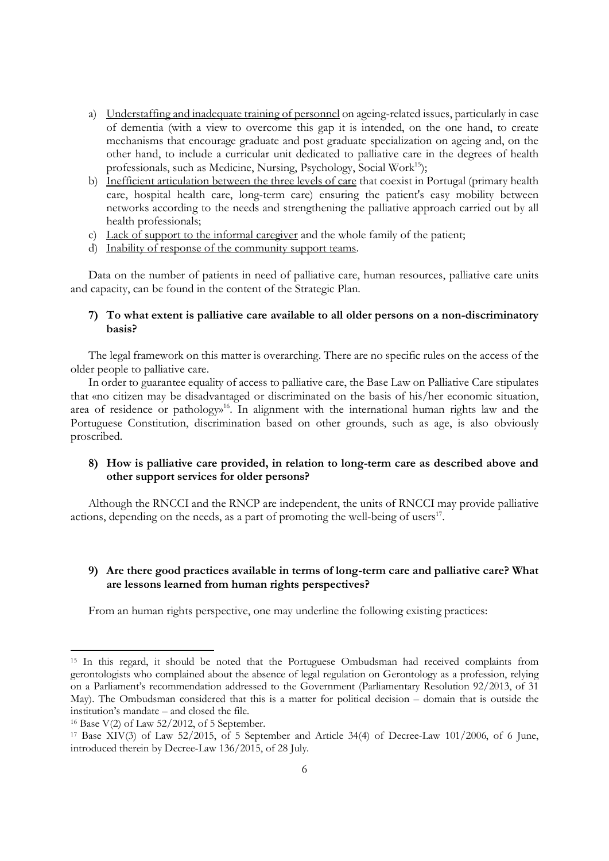- a) Understaffing and inadequate training of personnel on ageing-related issues, particularly in case of dementia (with a view to overcome this gap it is intended, on the one hand, to create mechanisms that encourage graduate and post graduate specialization on ageing and, on the other hand, to include a curricular unit dedicated to palliative care in the degrees of health professionals, such as Medicine, Nursing, Psychology, Social Work<sup>15</sup>);
- b) Inefficient articulation between the three levels of care that coexist in Portugal (primary health care, hospital health care, long-term care) ensuring the patient's easy mobility between networks according to the needs and strengthening the palliative approach carried out by all health professionals;
- c) Lack of support to the informal caregiver and the whole family of the patient;
- d) Inability of response of the community support teams.

Data on the number of patients in need of palliative care, human resources, palliative care units and capacity, can be found in the content of the Strategic Plan.

## 7) To what extent is palliative care available to all older persons on a non-discriminatory basis?

The legal framework on this matter is overarching. There are no specific rules on the access of the older people to palliative care.

In order to guarantee equality of access to palliative care, the Base Law on Palliative Care stipulates that «no citizen may be disadvantaged or discriminated on the basis of his/her economic situation, area of residence or pathology<sup>16</sup>. In alignment with the international human rights law and the Portuguese Constitution, discrimination based on other grounds, such as age, is also obviously proscribed.

## 8) How is palliative care provided, in relation to long-term care as described above and other support services for older persons?

Although the RNCCI and the RNCP are independent, the units of RNCCI may provide palliative actions, depending on the needs, as a part of promoting the well-being of users<sup>17</sup>.

## 9) Are there good practices available in terms of long-term care and palliative care? What are lessons learned from human rights perspectives?

From an human rights perspective, one may underline the following existing practices:

<sup>15</sup> In this regard, it should be noted that the Portuguese Ombudsman had received complaints from gerontologists who complained about the absence of legal regulation on Gerontology as a profession, relying on a Parliament's recommendation addressed to the Government (Parliamentary Resolution 92/2013, of 31 May). The Ombudsman considered that this is a matter for political decision – domain that is outside the institution's mandate – and closed the file.

<sup>16</sup> Base V(2) of Law 52/2012, of 5 September.

<sup>17</sup> Base XIV(3) of Law 52/2015, of 5 September and Article 34(4) of Decree-Law 101/2006, of 6 June, introduced therein by Decree-Law 136/2015, of 28 July.